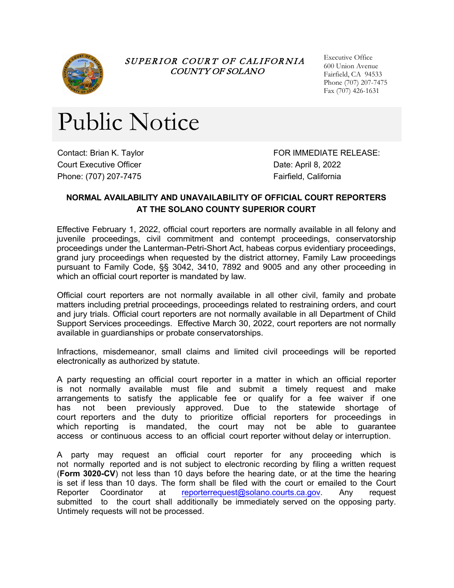

SUPERIOR COURT OF CALIFORNIA COUNTY OF SOLANO

Executive Office 600 Union Avenue Fairfield, CA 94533 Phone (707) 207-7475 Fax (707) 426-1631

## Public Notice

Contact: Brian K. Taylor Court Executive Officer Phone: (707) 207-7475

FOR IMMEDIATE RELEASE: Date: April 8, 2022 Fairfield, California

## **NORMAL AVAILABILITY AND UNAVAILABILITY OF OFFICIAL COURT REPORTERS AT THE SOLANO COUNTY SUPERIOR COURT**

Effective February 1, 2022, official court reporters are normally available in all felony and juvenile proceedings, civil commitment and contempt proceedings, conservatorship proceedings under the Lanterman-Petri-Short Act, habeas corpus evidentiary proceedings, grand jury proceedings when requested by the district attorney, Family Law proceedings pursuant to Family Code, §§ 3042, 3410, 7892 and 9005 and any other proceeding in which an official court reporter is mandated by law.

Official court reporters are not normally available in all other civil, family and probate matters including pretrial proceedings, proceedings related to restraining orders, and court and jury trials. Official court reporters are not normally available in all Department of Child Support Services proceedings. Effective March 30, 2022, court reporters are not normally available in guardianships or probate conservatorships.

Infractions, misdemeanor, small claims and limited civil proceedings will be reported electronically as authorized by statute.

A party requesting an official court reporter in a matter in which an official reporter is not normally available must file and submit a timely request and make arrangements to satisfy the applicable fee or qualify for a fee waiver if one has not been previously approved. Due to the statewide shortage of court reporters and the duty to prioritize official reporters for proceedings in which reporting is mandated, the court may not be able to guarantee access or continuous access to an official court reporter without delay or interruption.

A party may request an official court reporter for any proceeding which is not normally reported and is not subject to electronic recording by filing a written request (**Form 3020-CV**) not less than 10 days before the hearing date, or at the time the hearing is [set if less than 10 days.](mailto:reporterrequest@solano.courts.ca.gov) The form shall be filed with the court or emailed to the Court Reporter Coordinator at reporterrequest@solano.courts.ca.gov. Any request submitted to the court shall additionally be immediately served on the opposing party. Untimely requests will not be processed.